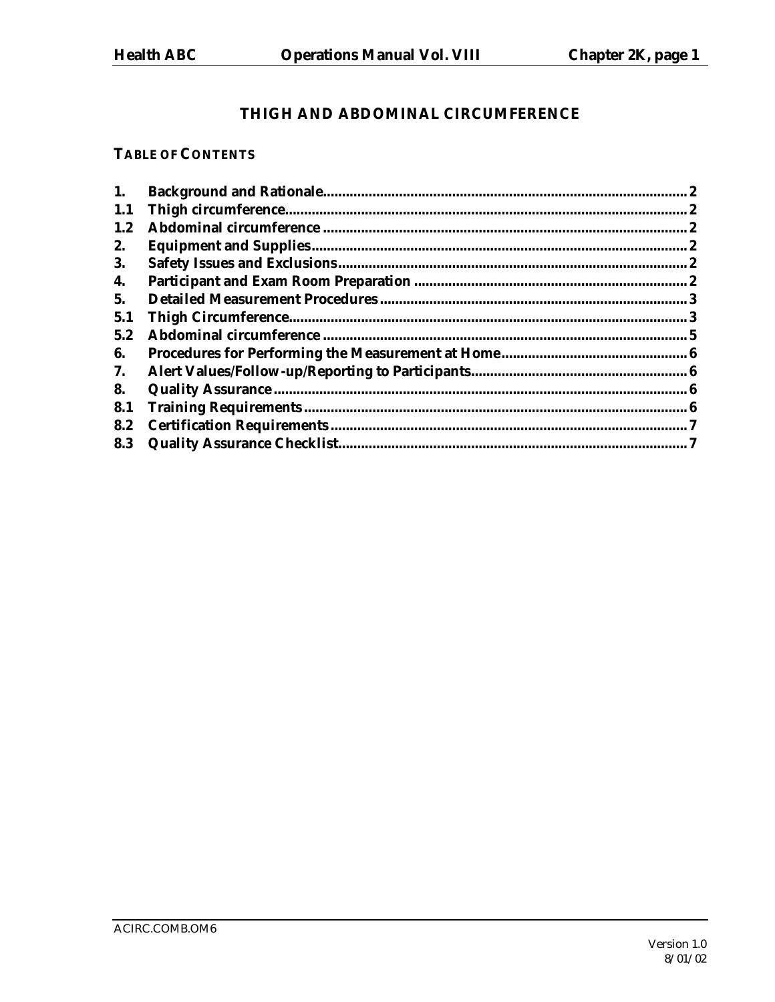# THIGH AND ABDOMINAL CIRCUMFERENCE

### **TABLE OF CONTENTS**

| 1.  | 2 |
|-----|---|
| 1.1 |   |
| 1.2 |   |
| 2.  |   |
| 3.  |   |
| 4.  |   |
| 5.  |   |
| 5.1 |   |
| 5.2 |   |
| 6.  |   |
| 7.  |   |
| 8.  |   |
| 8.1 |   |
| 8.2 |   |
| 8.3 |   |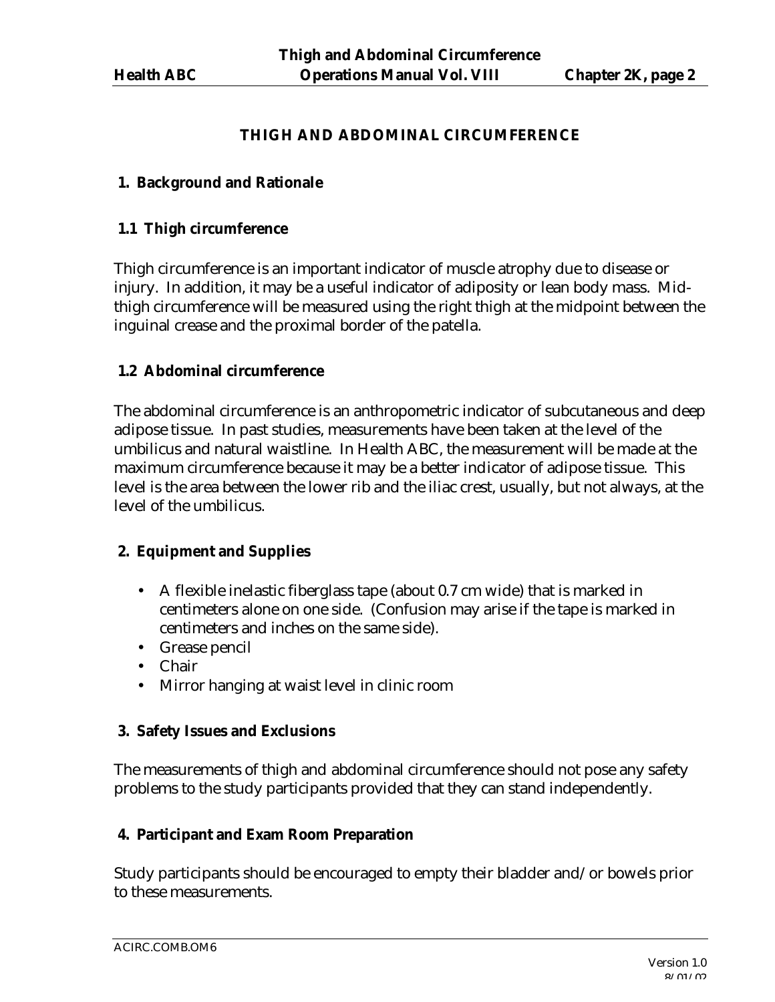#### **THIGH AND ABDOMINAL CIRCUMFERENCE**

#### **1. Background and Rationale**

#### **1.1 Thigh circumference**

Thigh circumference is an important indicator of muscle atrophy due to disease or injury. In addition, it may be a useful indicator of adiposity or lean body mass. Midthigh circumference will be measured using the right thigh at the midpoint between the inguinal crease and the proximal border of the patella.

### **1.2 Abdominal circumference**

The abdominal circumference is an anthropometric indicator of subcutaneous and deep adipose tissue. In past studies, measurements have been taken at the level of the umbilicus and natural waistline. In Health ABC, the measurement will be made at the maximum circumference because it may be a better indicator of adipose tissue. This level is the area between the lower rib and the iliac crest, usually, but not always, at the level of the umbilicus.

## **2. Equipment and Supplies**

- A flexible inelastic fiberglass tape (about 0.7 cm wide) that is marked in centimeters alone on one side. (Confusion may arise if the tape is marked in centimeters and inches on the same side).
- Grease pencil
- Chair
- Mirror hanging at waist level in clinic room

#### **3. Safety Issues and Exclusions**

The measurements of thigh and abdominal circumference should not pose any safety problems to the study participants provided that they can stand independently.

#### **4. Participant and Exam Room Preparation**

Study participants should be encouraged to empty their bladder and/or bowels prior to these measurements.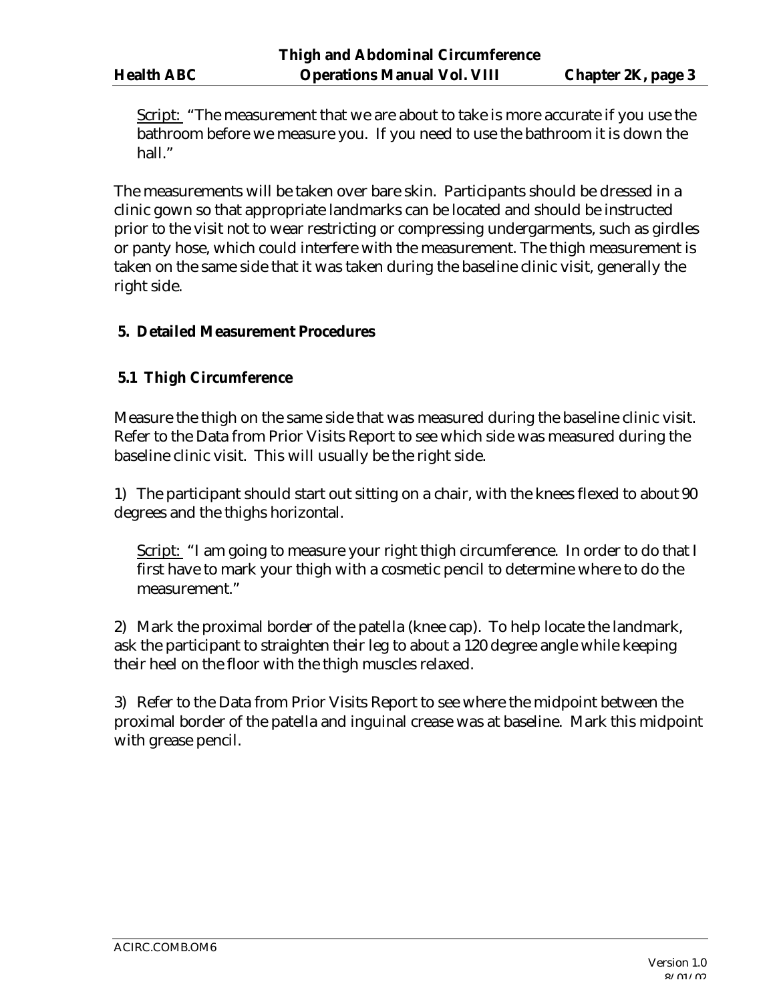Script: "The measurement that we are about to take is more accurate if you use the bathroom before we measure you. If you need to use the bathroom it is down the hall."

The measurements will be taken over bare skin. Participants should be dressed in a clinic gown so that appropriate landmarks can be located and should be instructed prior to the visit not to wear restricting or compressing undergarments, such as girdles or panty hose, which could interfere with the measurement. The thigh measurement is taken on the same side that it was taken during the baseline clinic visit, generally the right side.

#### **5. Detailed Measurement Procedures**

#### **5.1 Thigh Circumference**

Measure the thigh on the same side that was measured during the baseline clinic visit. Refer to the Data from Prior Visits Report to see which side was measured during the baseline clinic visit. This will usually be the right side.

1) The participant should start out sitting on a chair, with the knees flexed to about 90 degrees and the thighs horizontal.

Script: "I am going to measure your right thigh circumference. In order to do that I first have to mark your thigh with a cosmetic pencil to determine where to do the measurement."

2) Mark the proximal border of the patella (knee cap). To help locate the landmark, ask the participant to straighten their leg to about a 120 degree angle while keeping their heel on the floor with the thigh muscles relaxed.

3) Refer to the Data from Prior Visits Report to see where the midpoint between the proximal border of the patella and inguinal crease was at baseline. Mark this midpoint with grease pencil.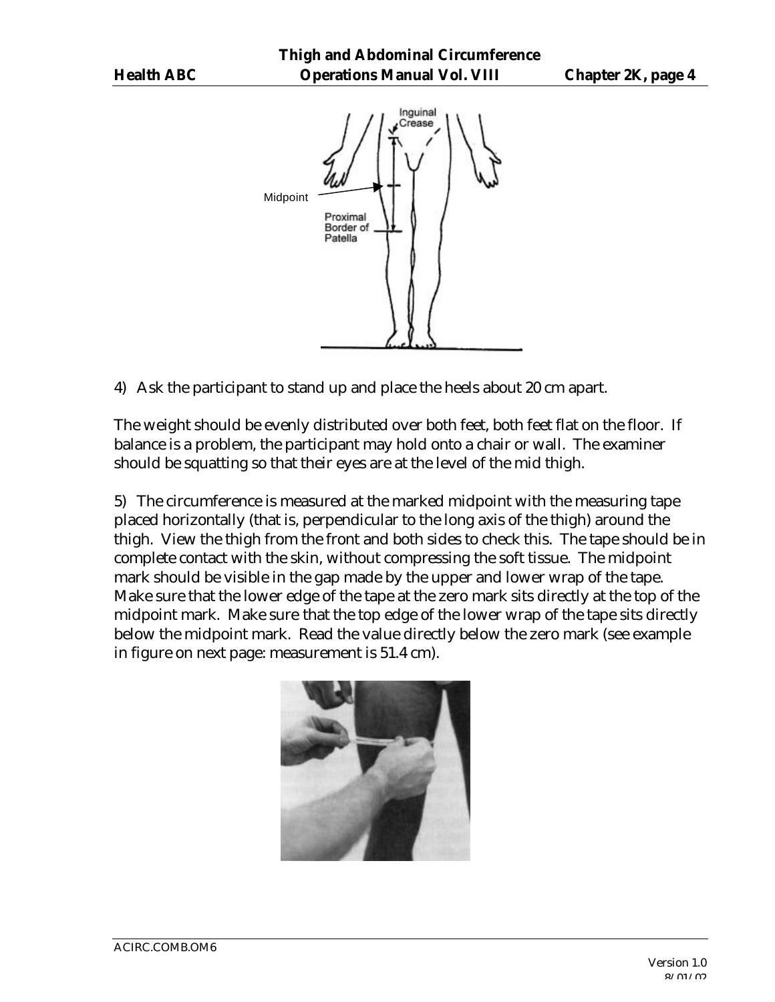

4) Ask the participant to stand up and place the heels about 20 cm apart.

The weight should be evenly distributed over both feet, both feet flat on the floor. If balance is a problem, the participant may hold onto a chair or wall. The examiner should be squatting so that their eyes are at the level of the mid thigh.

5) The circumference is measured at the marked midpoint with the measuring tape placed horizontally (that is, perpendicular to the long axis of the thigh) around the thigh. View the thigh from the front and both sides to check this. The tape should be in complete contact with the skin, without compressing the soft tissue. The midpoint mark should be visible in the gap made by the upper and lower wrap of the tape. Make sure that the lower edge of the tape at the zero mark sits directly at the top of the midpoint mark. Make sure that the top edge of the lower wrap of the tape sits directly below the midpoint mark. Read the value directly below the zero mark (see example in figure on next page: measurement is 51.4 cm).

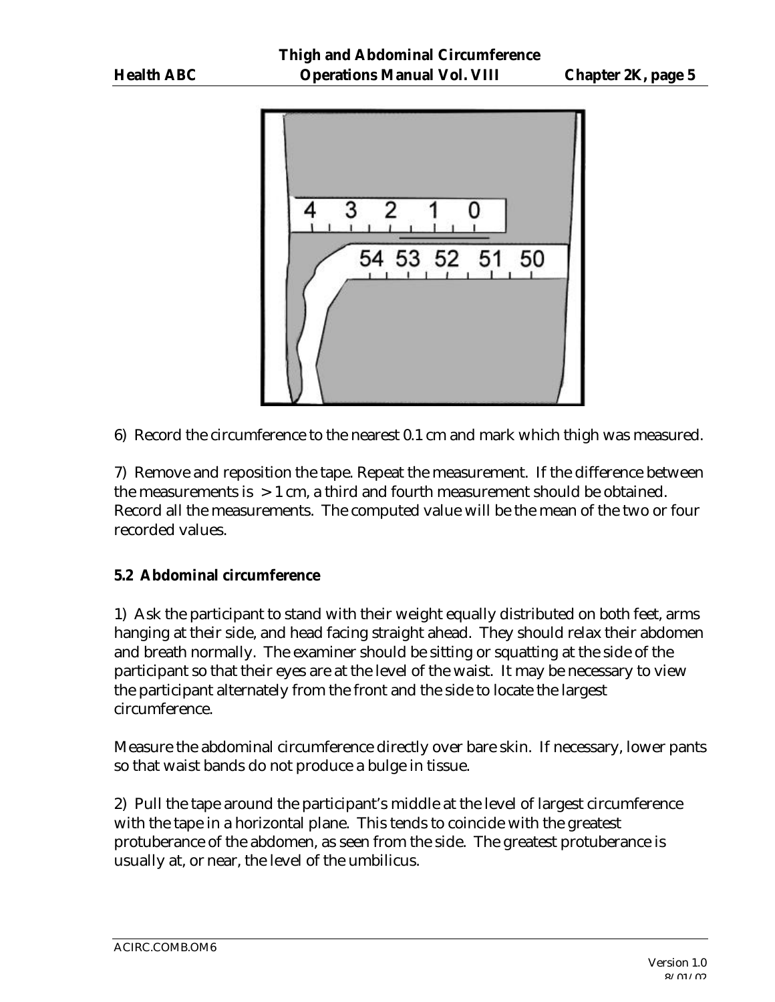

6) Record the circumference to the nearest 0.1 cm and mark which thigh was measured.

7) Remove and reposition the tape. Repeat the measurement. If the difference between the measurements is  $> 1$  cm, a third and fourth measurement should be obtained. Record all the measurements. The computed value will be the mean of the two or four recorded values.

#### **5.2 Abdominal circumference**

1) Ask the participant to stand with their weight equally distributed on both feet, arms hanging at their side, and head facing straight ahead. They should relax their abdomen and breath normally. The examiner should be sitting or squatting at the side of the participant so that their eyes are at the level of the waist. It may be necessary to view the participant alternately from the front and the side to locate the largest circumference.

Measure the abdominal circumference directly over bare skin. If necessary, lower pants so that waist bands do not produce a bulge in tissue.

2) Pull the tape around the participant's middle at the level of largest circumference with the tape in a horizontal plane. This tends to coincide with the greatest protuberance of the abdomen, as seen from the side. The greatest protuberance is usually at, or near, the level of the umbilicus.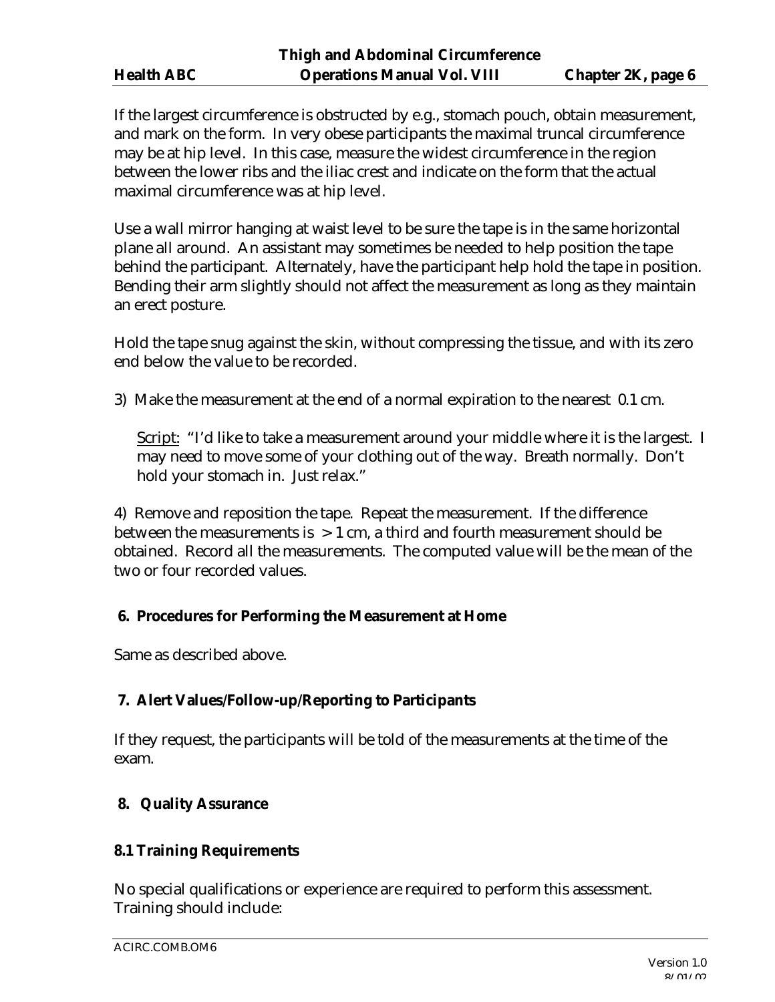If the largest circumference is obstructed by e.g., stomach pouch, obtain measurement, and mark on the form. In very obese participants the maximal truncal circumference may be at hip level. In this case, measure the widest circumference in the region between the lower ribs and the iliac crest and indicate on the form that the actual maximal circumference was at hip level.

Use a wall mirror hanging at waist level to be sure the tape is in the same horizontal plane all around. An assistant may sometimes be needed to help position the tape behind the participant. Alternately, have the participant help hold the tape in position. Bending their arm slightly should not affect the measurement as long as they maintain an erect posture.

Hold the tape snug against the skin, without compressing the tissue, and with its zero end below the value to be recorded.

3) Make the measurement at the end of a normal expiration to the nearest 0.1 cm.

Script: "I'd like to take a measurement around your middle where it is the largest. I may need to move some of your clothing out of the way. Breath normally. Don't hold your stomach in. Just relax."

4) Remove and reposition the tape. Repeat the measurement. If the difference between the measurements is  $> 1$  cm, a third and fourth measurement should be obtained. Record all the measurements. The computed value will be the mean of the two or four recorded values.

#### **6. Procedures for Performing the Measurement at Home**

Same as described above.

## **7. Alert Values/Follow-up/Reporting to Participants**

If they request, the participants will be told of the measurements at the time of the exam.

## **8. Quality Assurance**

#### **8.1 Training Requirements**

No special qualifications or experience are required to perform this assessment. Training should include: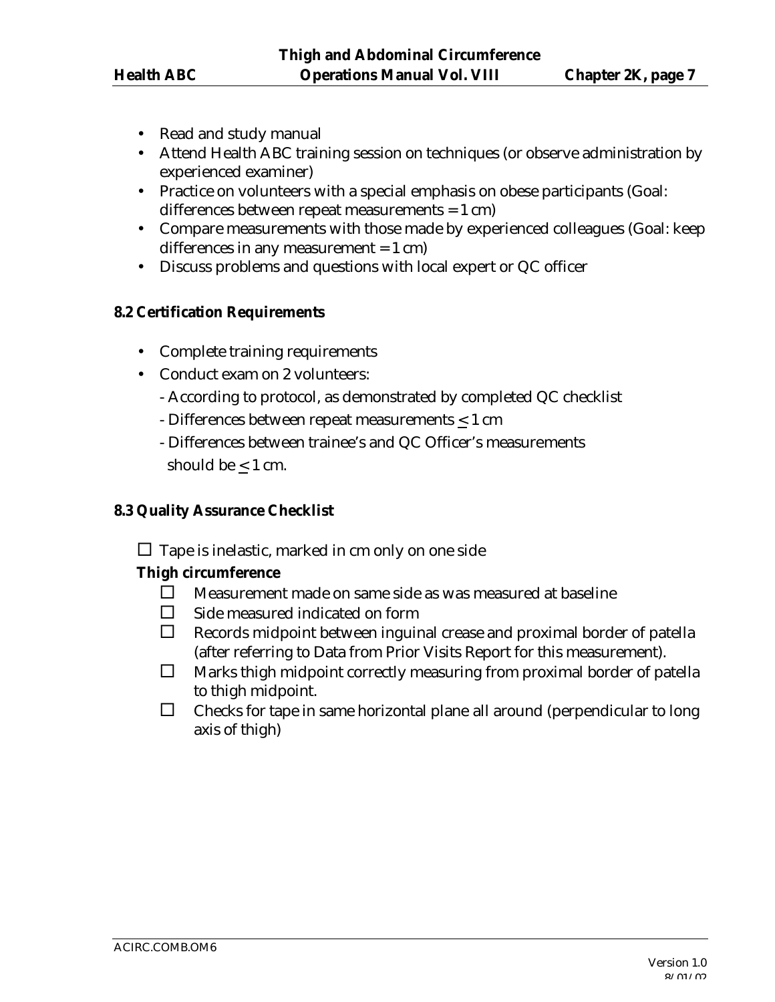- Read and study manual
- Attend Health ABC training session on techniques (or observe administration by experienced examiner)
- Practice on volunteers with a special emphasis on obese participants (Goal: differences between repeat measurements = 1 cm)
- Compare measurements with those made by experienced colleagues (Goal: keep differences in any measurement  $= 1$  cm)
- Discuss problems and questions with local expert or QC officer

### **8.2 Certification Requirements**

- Complete training requirements
- Conduct exam on 2 volunteers:
	- According to protocol, as demonstrated by completed QC checklist
	- Differences between repeat measurements < 1 cm
	- Differences between trainee's and QC Officer's measurements should be  $< 1$  cm.

#### **8.3 Quality Assurance Checklist**

 $\square$  Tape is inelastic, marked in cm only on one side

## **Thigh circumference**

- $\square$  Measurement made on same side as was measured at baseline
- $\square$  Side measured indicated on form
- $\Box$  Records midpoint between inguinal crease and proximal border of patella (after referring to Data from Prior Visits Report for this measurement).
- $\Box$  Marks thigh midpoint correctly measuring from proximal border of patella to thigh midpoint.
- $\Box$  Checks for tape in same horizontal plane all around (perpendicular to long axis of thigh)